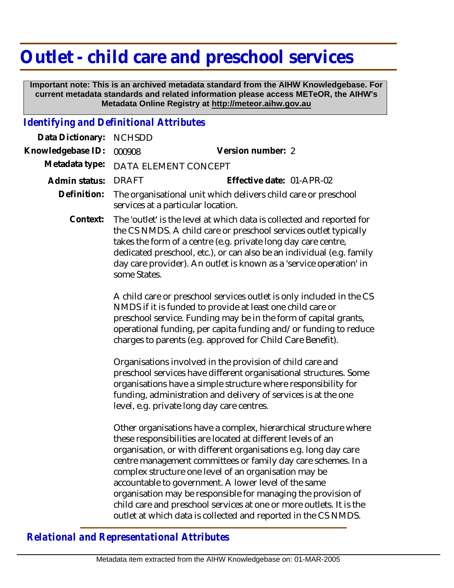## **Outlet - child care and preschool services**

 **Important note: This is an archived metadata standard from the AIHW Knowledgebase. For current metadata standards and related information please access METeOR, the AIHW's Metadata Online Registry at http://meteor.aihw.gov.au**

## *Identifying and Definitional Attributes*

| Data Dictionary:  | <b>NCHSDD</b>                                                                                                                                                                                                                                                                                                                                                                                                                                                                                                                                                                                    |
|-------------------|--------------------------------------------------------------------------------------------------------------------------------------------------------------------------------------------------------------------------------------------------------------------------------------------------------------------------------------------------------------------------------------------------------------------------------------------------------------------------------------------------------------------------------------------------------------------------------------------------|
| Knowledgebase ID: | Version number: 2<br>000908                                                                                                                                                                                                                                                                                                                                                                                                                                                                                                                                                                      |
| Metadata type:    | DATA ELEMENT CONCEPT                                                                                                                                                                                                                                                                                                                                                                                                                                                                                                                                                                             |
| Admin status:     | Effective date: 01-APR-02<br><b>DRAFT</b>                                                                                                                                                                                                                                                                                                                                                                                                                                                                                                                                                        |
| Definition:       | The organisational unit which delivers child care or preschool<br>services at a particular location.                                                                                                                                                                                                                                                                                                                                                                                                                                                                                             |
| Context:          | The 'outlet' is the level at which data is collected and reported for<br>the CS NMDS. A child care or preschool services outlet typically<br>takes the form of a centre (e.g. private long day care centre,<br>dedicated preschool, etc.), or can also be an individual (e.g. family<br>day care provider). An outlet is known as a 'service operation' in<br>some States.                                                                                                                                                                                                                       |
|                   | A child care or preschool services outlet is only included in the CS<br>NMDS if it is funded to provide at least one child care or<br>preschool service. Funding may be in the form of capital grants,<br>operational funding, per capita funding and/or funding to reduce<br>charges to parents (e.g. approved for Child Care Benefit).                                                                                                                                                                                                                                                         |
|                   | Organisations involved in the provision of child care and<br>preschool services have different organisational structures. Some<br>organisations have a simple structure where responsibility for<br>funding, administration and delivery of services is at the one<br>level, e.g. private long day care centres.                                                                                                                                                                                                                                                                                 |
|                   | Other organisations have a complex, hierarchical structure where<br>these responsibilities are located at different levels of an<br>organisation, or with different organisations e.g. long day care<br>centre management committees or family day care schemes. In a<br>complex structure one level of an organisation may be<br>accountable to government. A lower level of the same<br>organisation may be responsible for managing the provision of<br>child care and preschool services at one or more outlets. It is the<br>outlet at which data is collected and reported in the CS NMDS. |

## *Relational and Representational Attributes*